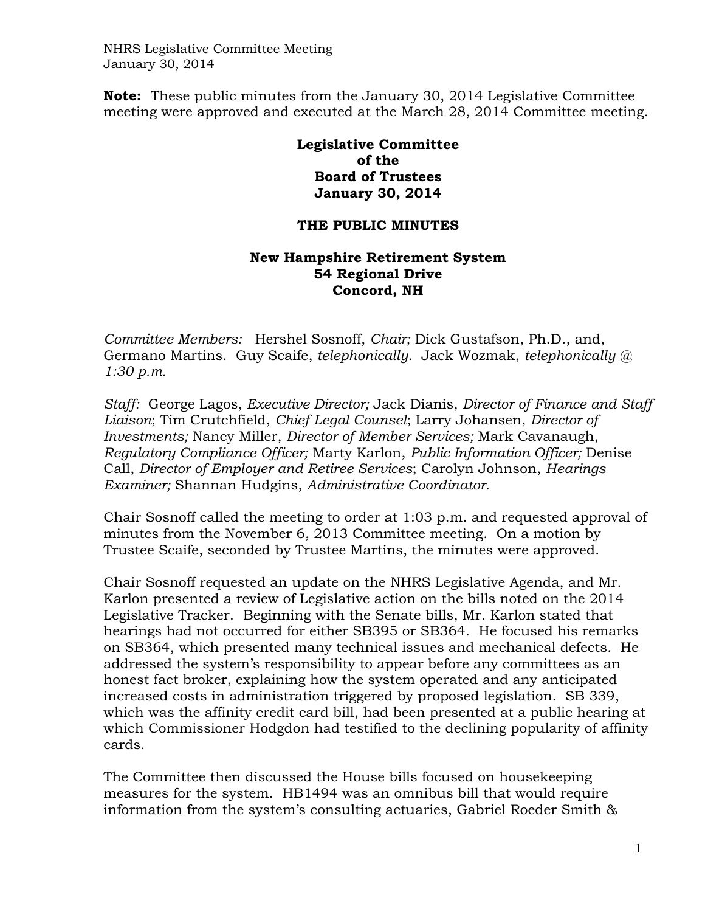NHRS Legislative Committee Meeting January 30, 2014

**Note:** These public minutes from the January 30, 2014 Legislative Committee meeting were approved and executed at the March 28, 2014 Committee meeting.

> **Legislative Committee of the Board of Trustees January 30, 2014**

## **THE PUBLIC MINUTES**

## **New Hampshire Retirement System 54 Regional Drive Concord, NH**

*Committee Members:* Hershel Sosnoff, *Chair;* Dick Gustafson, Ph.D., and, Germano Martins. Guy Scaife, *telephonically*. Jack Wozmak, *telephonically @ 1:30 p.m.* 

*Staff:* George Lagos, *Executive Director;* Jack Dianis, *Director of Finance and Staff Liaison*; Tim Crutchfield, *Chief Legal Counsel*; Larry Johansen, *Director of Investments;* Nancy Miller, *Director of Member Services;* Mark Cavanaugh, *Regulatory Compliance Officer;* Marty Karlon, *Public Information Officer;* Denise Call, *Director of Employer and Retiree Services*; Carolyn Johnson, *Hearings Examiner;* Shannan Hudgins, *Administrative Coordinator*.

Chair Sosnoff called the meeting to order at 1:03 p.m. and requested approval of minutes from the November 6, 2013 Committee meeting. On a motion by Trustee Scaife, seconded by Trustee Martins, the minutes were approved.

Chair Sosnoff requested an update on the NHRS Legislative Agenda, and Mr. Karlon presented a review of Legislative action on the bills noted on the 2014 Legislative Tracker. Beginning with the Senate bills, Mr. Karlon stated that hearings had not occurred for either SB395 or SB364. He focused his remarks on SB364, which presented many technical issues and mechanical defects. He addressed the system's responsibility to appear before any committees as an honest fact broker, explaining how the system operated and any anticipated increased costs in administration triggered by proposed legislation. SB 339, which was the affinity credit card bill, had been presented at a public hearing at which Commissioner Hodgdon had testified to the declining popularity of affinity cards.

The Committee then discussed the House bills focused on housekeeping measures for the system. HB1494 was an omnibus bill that would require information from the system's consulting actuaries, Gabriel Roeder Smith &